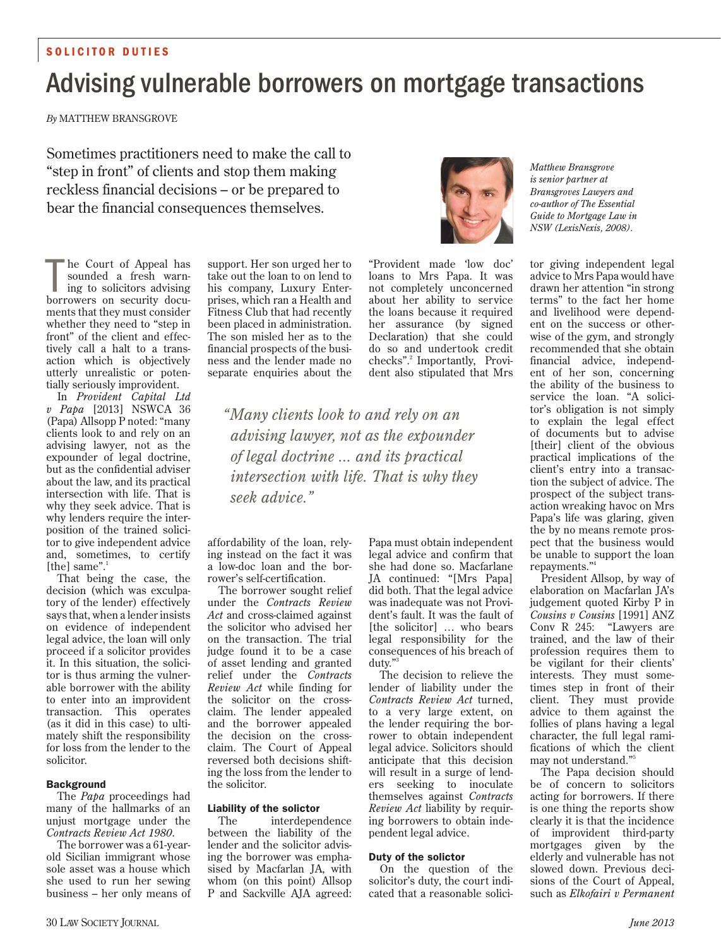# SOLICITOR DUTIES

# Advising vulnerable borrowers on mortgage transactions

*By* MATTHEW BRANSGROVE

Sometimes practitioners need to make the call to "step in front" of clients and stop them making reckless financial decisions – or be prepared to bear the financial consequences themselves.



The Court of Appeal has<br>
sounded a fresh warn-<br>
ing to solicitors advising<br>
borrowers on security docuhe Court of Appeal has sounded a fresh warning to solicitors advising ments that they must consider whether they need to "step in front" of the client and effectively call a halt to a transaction which is objectively utterly unrealistic or potentially seriously improvident.

In *Provident Capital Ltd v Papa* [2013] NSWCA 36 (Papa) Allsopp P noted: "many clients look to and rely on an advising lawyer, not as the expounder of legal doctrine, but as the confidential adviser about the law, and its practical intersection with life. That is why they seek advice. That is why lenders require the interposition of the trained solicitor to give independent advice and, sometimes, to certify [the] same".<sup>1</sup>

That being the case, the decision (which was exculpatory of the lender) effectively says that, when a lender insists on evidence of independent legal advice, the loan will only proceed if a solicitor provides it. In this situation, the solicitor is thus arming the vulnerable borrower with the ability to enter into an improvident transaction. This operates (as it did in this case) to ultimately shift the responsibility for loss from the lender to the solicitor.

#### Background

The *Papa* proceedings had many of the hallmarks of an unjust mortgage under the *Contracts Review Act 1980*.

The borrower was a 61-yearold Sicilian immigrant whose sole asset was a house which she used to run her sewing business – her only means of

support. Her son urged her to take out the loan to on lend to his company, Luxury Enterprises, which ran a Health and Fitness Club that had recently been placed in administration. The son misled her as to the financial prospects of the business and the lender made no separate enquiries about the

"Provident made 'low doc' loans to Mrs Papa. It was not completely unconcerned about her ability to service the loans because it required her assurance (by signed Declaration) that she could do so and undertook credit checks".<sup>2</sup> Importantly, Provident also stipulated that Mrs

*"Many clients look to and rely on an advising lawyer, not as the expounder of legal doctrine ... and its practical intersection with life. That is why they seek advice."*

affordability of the loan, relying instead on the fact it was a low-doc loan and the borrower's self-certification.

The borrower sought relief under the *Contracts Review Act* and cross-claimed against the solicitor who advised her on the transaction. The trial judge found it to be a case of asset lending and granted relief under the *Contracts Review Act* while finding for the solicitor on the crossclaim. The lender appealed and the borrower appealed the decision on the crossclaim. The Court of Appeal reversed both decisions shifting the loss from the lender to the solicitor.

#### Liability of the solictor

The interdependence between the liability of the lender and the solicitor advising the borrower was emphasised by Macfarlan JA, with whom (on this point) Allsop P and Sackville AJA agreed:

Papa must obtain independent legal advice and confirm that she had done so. Macfarlane JA continued: "[Mrs Papa] did both. That the legal advice was inadequate was not Provident's fault. It was the fault of [the solicitor] ... who bears legal responsibility for the consequences of his breach of duty."

The decision to relieve the lender of liability under the *Contracts Review Act* turned, to a very large extent, on the lender requiring the borrower to obtain independent legal advice. Solicitors should anticipate that this decision will result in a surge of lenders seeking to inoculate themselves against *Contracts Review Act* liability by requiring borrowers to obtain independent legal advice.

#### Duty of the solictor

On the question of the solicitor's duty, the court indicated that a reasonable solici*Matthew Bransgrove is senior partner at Bransgroves Lawyers and co-author of The Essential Guide to Mortgage Law in NSW (LexisNexis, 2008).*

tor giving independent legal advice to Mrs Papa would have drawn her attention "in strong terms" to the fact her home and livelihood were dependent on the success or otherwise of the gym, and strongly recommended that she obtain financial advice, independent of her son, concerning the ability of the business to service the loan. "A solicitor's obligation is not simply to explain the legal effect of documents but to advise [their] client of the obvious practical implications of the client's entry into a transaction the subject of advice. The prospect of the subject transaction wreaking havoc on Mrs Papa's life was glaring, given the by no means remote prospect that the business would be unable to support the loan repayments."4

President Allsop, by way of elaboration on Macfarlan JA's judgement quoted Kirby P in *Cousins v Cousins* [1991] ANZ Conv R 245: "Lawyers are trained, and the law of their profession requires them to be vigilant for their clients' interests. They must sometimes step in front of their client. They must provide advice to them against the follies of plans having a legal character, the full legal ramifications of which the client may not understand."5

The Papa decision should be of concern to solicitors acting for borrowers. If there is one thing the reports show clearly it is that the incidence of improvident third-party mortgages given by the elderly and vulnerable has not slowed down. Previous decisions of the Court of Appeal, such as *Elkofairi v Permanent*